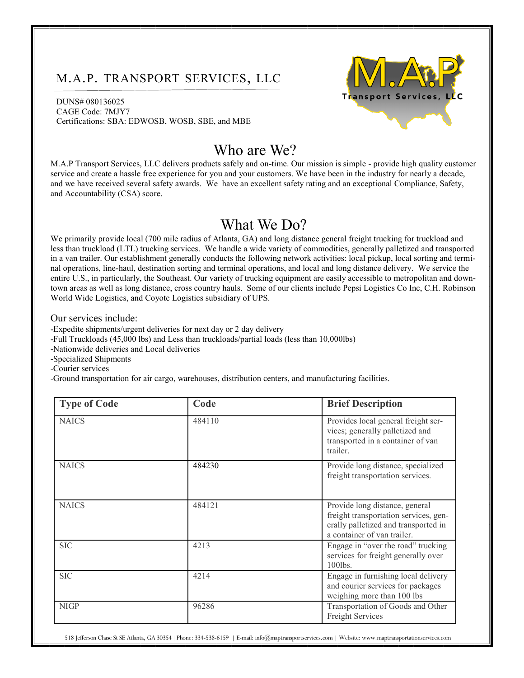## M.A.P. TRANSPORT SERVICES, LLC

DUNS# 080136025 CAGE Code: 7MJY7 Certifications: SBA: EDWOSB, WOSB, SBE, and MBE



## Who are We?

M.A.P Transport Services, LLC delivers products safely and on-time. Our mission is simple - provide high quality customer service and create a hassle free experience for you and your customers. We have been in the industry for nearly a decade, and we have received several safety awards. We have an excellent safety rating and an exceptional Compliance, Safety, and Accountability (CSA) score.

## What We Do?

We primarily provide local (700 mile radius of Atlanta, GA) and long distance general freight trucking for truckload and less than truckload (LTL) trucking services. We handle a wide variety of commodities, generally palletized and transported in a van trailer. Our establishment generally conducts the following network activities: local pickup, local sorting and terminal operations, line-haul, destination sorting and terminal operations, and local and long distance delivery. We service the entire U.S., in particularly, the Southeast. Our variety of trucking equipment are easily accessible to metropolitan and downtown areas as well as long distance, cross country hauls. Some of our clients include Pepsi Logistics Co Inc, C.H. Robinson World Wide Logistics, and Coyote Logistics subsidiary of UPS.

Our services include:

-Expedite shipments/urgent deliveries for next day or 2 day delivery

-Full Truckloads (45,000 lbs) and Less than truckloads/partial loads (less than 10,000lbs)

-Nationwide deliveries and Local deliveries

-Specialized Shipments

-Courier services

-Ground transportation for air cargo, warehouses, distribution centers, and manufacturing facilities.

| <b>Type of Code</b> | Code   | <b>Brief Description</b>                                                                                                                       |
|---------------------|--------|------------------------------------------------------------------------------------------------------------------------------------------------|
| <b>NAICS</b>        | 484110 | Provides local general freight ser-<br>vices; generally palletized and<br>transported in a container of van<br>trailer.                        |
| <b>NAICS</b>        | 484230 | Provide long distance, specialized<br>freight transportation services.                                                                         |
| <b>NAICS</b>        | 484121 | Provide long distance, general<br>freight transportation services, gen-<br>erally palletized and transported in<br>a container of van trailer. |
| <b>SIC</b>          | 4213   | Engage in "over the road" trucking<br>services for freight generally over<br>100lbs.                                                           |
| <b>SIC</b>          | 4214   | Engage in furnishing local delivery<br>and courier services for packages<br>weighing more than 100 lbs                                         |
| <b>NIGP</b>         | 96286  | Transportation of Goods and Other<br>Freight Services                                                                                          |

518 Jefferson Chase St SE Atlanta, GA 30354 |Phone: 334-538-6159 | E-mail: info@maptransportservices.com | Website: www.maptransportationservices.com